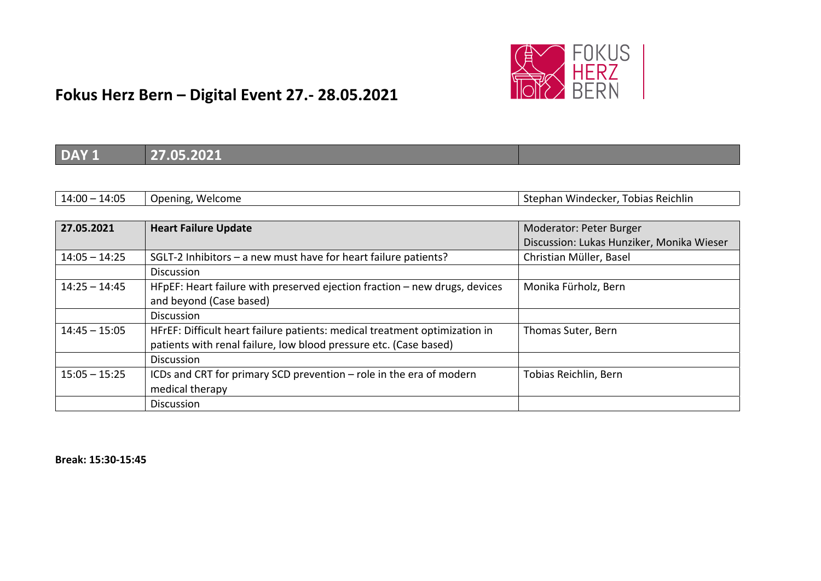

| <b>DAY 1</b>    | 27.05.2021                                                                 |                                           |
|-----------------|----------------------------------------------------------------------------|-------------------------------------------|
|                 |                                                                            |                                           |
| $14:00 - 14:05$ | Opening, Welcome                                                           | Stephan Windecker, Tobias Reichlin        |
|                 |                                                                            |                                           |
| 27.05.2021      | <b>Heart Failure Update</b>                                                | Moderator: Peter Burger                   |
|                 |                                                                            | Discussion: Lukas Hunziker, Monika Wieser |
| $14:05 - 14:25$ | SGLT-2 Inhibitors - a new must have for heart failure patients?            | Christian Müller, Basel                   |
|                 | Discussion                                                                 |                                           |
| $14:25 - 14:45$ | HFpEF: Heart failure with preserved ejection fraction - new drugs, devices | Monika Fürholz, Bern                      |
|                 | and beyond (Case based)                                                    |                                           |
|                 | <b>Discussion</b>                                                          |                                           |
| $14:45 - 15:05$ | HFrEF: Difficult heart failure patients: medical treatment optimization in | Thomas Suter, Bern                        |
|                 | patients with renal failure, low blood pressure etc. (Case based)          |                                           |
|                 | <b>Discussion</b>                                                          |                                           |
| $15:05 - 15:25$ | ICDs and CRT for primary SCD prevention - role in the era of modern        | Tobias Reichlin, Bern                     |
|                 | medical therapy                                                            |                                           |
|                 | <b>Discussion</b>                                                          |                                           |

**Break: 15:30‐15:45**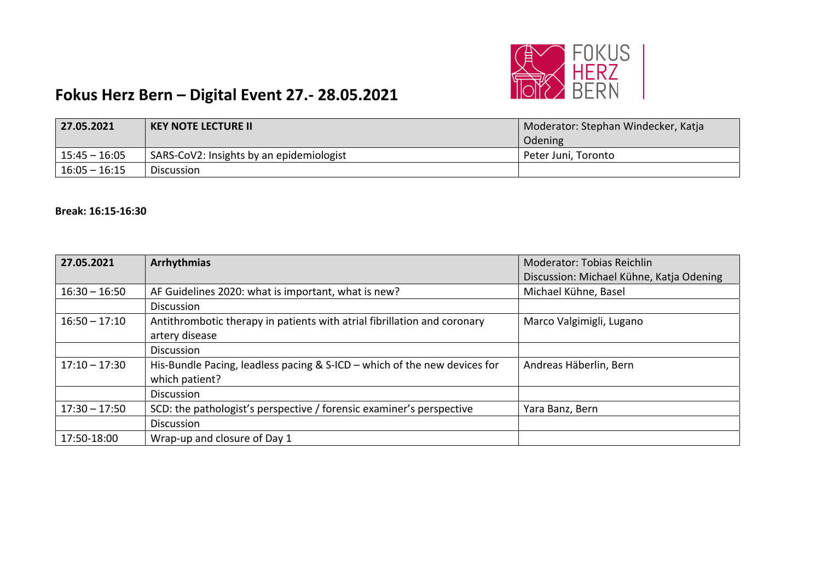

| 27.05.2021      | <b>KEY NOTE LECTURE II</b>               | Moderator: Stephan Windecker, Katja |
|-----------------|------------------------------------------|-------------------------------------|
|                 |                                          | Odening                             |
| 15:45 – 16:05   | SARS-CoV2: Insights by an epidemiologist | Peter Juni, Toronto                 |
| $16:05 - 16:15$ | <b>Discussion</b>                        |                                     |

#### **Break: 16:15‐16:30**

| 27.05.2021      | <b>Arrhythmias</b>                                                        | <b>Moderator: Tobias Reichlin</b>        |
|-----------------|---------------------------------------------------------------------------|------------------------------------------|
|                 |                                                                           | Discussion: Michael Kühne, Katja Odening |
| $16:30 - 16:50$ | AF Guidelines 2020: what is important, what is new?                       | Michael Kühne, Basel                     |
|                 | <b>Discussion</b>                                                         |                                          |
| $16:50 - 17:10$ | Antithrombotic therapy in patients with atrial fibrillation and coronary  | Marco Valgimigli, Lugano                 |
|                 | artery disease                                                            |                                          |
|                 | <b>Discussion</b>                                                         |                                          |
| $17:10 - 17:30$ | His-Bundle Pacing, leadless pacing & S-ICD - which of the new devices for | Andreas Häberlin, Bern                   |
|                 | which patient?                                                            |                                          |
|                 | <b>Discussion</b>                                                         |                                          |
| $17:30 - 17:50$ | SCD: the pathologist's perspective / forensic examiner's perspective      | Yara Banz, Bern                          |
|                 | <b>Discussion</b>                                                         |                                          |
| 17:50-18:00     | Wrap-up and closure of Day 1                                              |                                          |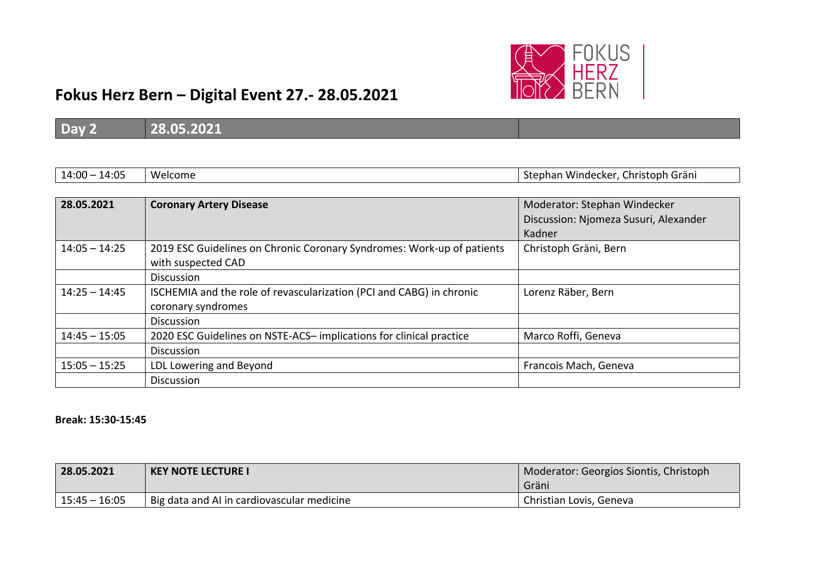

| $14:00 - 14:05$ | Welcome                                                                | Stephan Windecker, Christoph Gräni    |
|-----------------|------------------------------------------------------------------------|---------------------------------------|
|                 |                                                                        |                                       |
| 28.05.2021      | <b>Coronary Artery Disease</b>                                         | Moderator: Stephan Windecker          |
|                 |                                                                        | Discussion: Njomeza Susuri, Alexander |
|                 |                                                                        | Kadner                                |
| $14:05 - 14:25$ | 2019 ESC Guidelines on Chronic Coronary Syndromes: Work-up of patients | Christoph Gräni, Bern                 |
|                 | with suspected CAD                                                     |                                       |
|                 | <b>Discussion</b>                                                      |                                       |
| $14:25 - 14:45$ | ISCHEMIA and the role of revascularization (PCI and CABG) in chronic   | Lorenz Räber, Bern                    |
|                 | coronary syndromes                                                     |                                       |
|                 | <b>Discussion</b>                                                      |                                       |
| $14:45 - 15:05$ | 2020 ESC Guidelines on NSTE-ACS-implications for clinical practice     | Marco Roffi, Geneva                   |
|                 | <b>Discussion</b>                                                      |                                       |
| $15:05 - 15:25$ | LDL Lowering and Beyond                                                | Francois Mach, Geneva                 |
|                 | Discussion                                                             |                                       |

#### **Break: 15:30‐15:45**

| 28.05.2021      | <b>KEY NOTE LECTURE I</b>                  | Moderator: Georgios Siontis, Christoph<br>Gräni |
|-----------------|--------------------------------------------|-------------------------------------------------|
| $15:45 - 16:05$ | Big data and AI in cardiovascular medicine | Christian Lovis, Geneva                         |